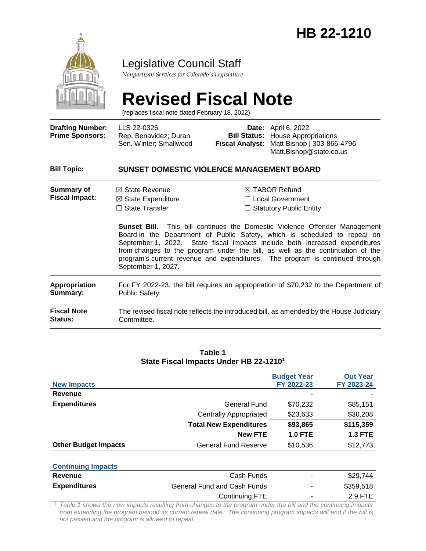

# Legislative Council Staff

*Nonpartisan Services for Colorado's Legislature*

# **Revised Fiscal Note**

(replaces fiscal note dated February 18, 2022)

| <b>Drafting Number:</b><br><b>Prime Sponsors:</b> | LLS 22-0326<br>Rep. Benavidez; Duran<br>Sen. Winter; Smallwood                                            | Date:<br><b>Bill Status:</b><br><b>Fiscal Analyst:</b>                                                                                                                                                                                                                                                                                                                                                                                                                                                   | April 6, 2022<br><b>House Appropriations</b><br>Matt Bishop   303-866-4796<br>Matt.Bishop@state.co.us |  |  |  |
|---------------------------------------------------|-----------------------------------------------------------------------------------------------------------|----------------------------------------------------------------------------------------------------------------------------------------------------------------------------------------------------------------------------------------------------------------------------------------------------------------------------------------------------------------------------------------------------------------------------------------------------------------------------------------------------------|-------------------------------------------------------------------------------------------------------|--|--|--|
| <b>Bill Topic:</b>                                | <b>SUNSET DOMESTIC VIOLENCE MANAGEMENT BOARD</b>                                                          |                                                                                                                                                                                                                                                                                                                                                                                                                                                                                                          |                                                                                                       |  |  |  |
| <b>Summary of</b><br><b>Fiscal Impact:</b>        | $\boxtimes$ State Revenue<br>$\boxtimes$ State Expenditure<br>$\Box$ State Transfer<br>September 1, 2027. | $\boxtimes$ TABOR Refund<br>$\Box$ Local Government<br>$\Box$ Statutory Public Entity<br><b>Sunset Bill.</b> This bill continues the Domestic Violence Offender Management<br>Board in the Department of Public Safety, which is scheduled to repeal on<br>September 1, 2022. State fiscal impacts include both increased expenditures<br>from changes to the program under the bill, as well as the continuation of the<br>program's current revenue and expenditures. The program is continued through |                                                                                                       |  |  |  |
| <b>Appropriation</b><br>Summary:                  | For FY 2022-23, the bill requires an appropriation of \$70,232 to the Department of<br>Public Safety.     |                                                                                                                                                                                                                                                                                                                                                                                                                                                                                                          |                                                                                                       |  |  |  |
| <b>Fiscal Note</b><br>Status:                     | The revised fiscal note reflects the introduced bill, as amended by the House Judiciary<br>Committee.     |                                                                                                                                                                                                                                                                                                                                                                                                                                                                                                          |                                                                                                       |  |  |  |

#### **Table 1 State Fiscal Impacts Under HB 22-1210<sup>1</sup>**

| <b>New Impacts</b>          |                               | <b>Budget Year</b><br>FY 2022-23 | <b>Out Year</b><br>FY 2023-24 |
|-----------------------------|-------------------------------|----------------------------------|-------------------------------|
| Revenue                     |                               |                                  |                               |
| <b>Expenditures</b>         | <b>General Fund</b>           | \$70,232                         | \$85,151                      |
|                             | <b>Centrally Appropriated</b> | \$23,633                         | \$30,208                      |
|                             | <b>Total New Expenditures</b> | \$93,865                         | \$115,359                     |
|                             | <b>New FTE</b>                | <b>1.0 FTE</b>                   | <b>1.3 FTE</b>                |
| <b>Other Budget Impacts</b> | <b>General Fund Reserve</b>   | \$10,536                         | \$12,773                      |

#### **Continuing Impacts**

| Revenue             | Cash Funds                  |   | \$29.744  |
|---------------------|-----------------------------|---|-----------|
| <b>Expenditures</b> | General Fund and Cash Funds | - | \$359.518 |
|                     | Continuing FTE              |   | 2.9 FTE   |

<sup>1</sup> *Table 1 shows the new impacts resulting from changes to the program under the bill and the continuing impacts*  from extending the program beyond its current repeal date. The continuing program impacts will end if the bill is *not passed and the program is allowed to repeal.*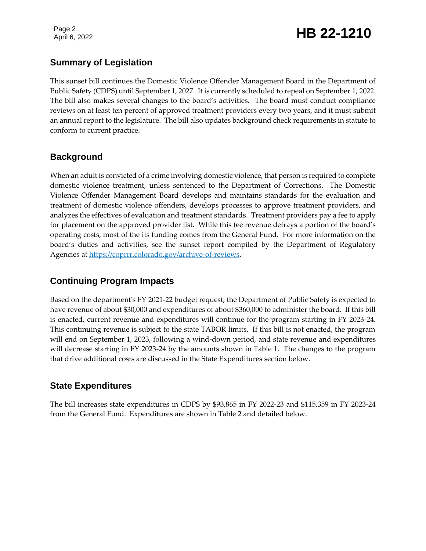Page 2

# Page 2<br>April 6, 2022 **HB 22-1210**

### **Summary of Legislation**

This sunset bill continues the Domestic Violence Offender Management Board in the Department of Public Safety (CDPS) until September 1, 2027. It is currently scheduled to repeal on September 1, 2022. The bill also makes several changes to the board's activities. The board must conduct compliance reviews on at least ten percent of approved treatment providers every two years, and it must submit an annual report to the legislature. The bill also updates background check requirements in statute to conform to current practice.

### **Background**

When an adult is convicted of a crime involving domestic violence, that person is required to complete domestic violence treatment, unless sentenced to the Department of Corrections. The Domestic Violence Offender Management Board develops and maintains standards for the evaluation and treatment of domestic violence offenders, develops processes to approve treatment providers, and analyzes the effectives of evaluation and treatment standards. Treatment providers pay a fee to apply for placement on the approved provider list. While this fee revenue defrays a portion of the board's operating costs, most of the its funding comes from the General Fund. For more information on the board's duties and activities, see the sunset report compiled by the Department of Regulatory Agencies at [https://coprrr.colorado.gov/archive-of-reviews.](https://coprrr.colorado.gov/archive-of-reviews)

## **Continuing Program Impacts**

Based on the department's FY 2021-22 budget request, the Department of Public Safety is expected to have revenue of about \$30,000 and expenditures of about \$360,000 to administer the board. If this bill is enacted, current revenue and expenditures will continue for the program starting in FY 2023-24. This continuing revenue is subject to the state TABOR limits. If this bill is not enacted, the program will end on September 1, 2023, following a wind-down period, and state revenue and expenditures will decrease starting in FY 2023-24 by the amounts shown in Table 1. The changes to the program that drive additional costs are discussed in the State Expenditures section below.

### **State Expenditures**

The bill increases state expenditures in CDPS by \$93,865 in FY 2022-23 and \$115,359 in FY 2023-24 from the General Fund. Expenditures are shown in Table 2 and detailed below.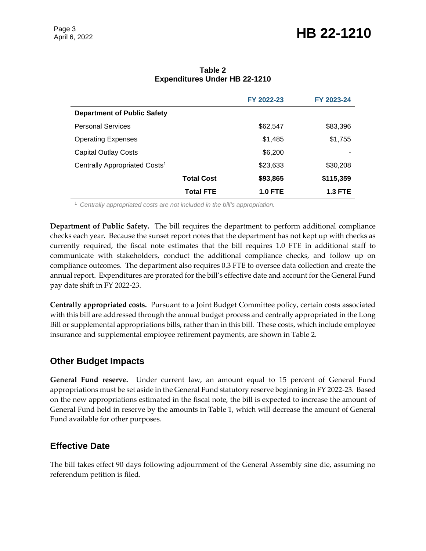|                                           |                   | FY 2022-23     | FY 2023-24     |  |
|-------------------------------------------|-------------------|----------------|----------------|--|
| <b>Department of Public Safety</b>        |                   |                |                |  |
| <b>Personal Services</b>                  |                   | \$62,547       | \$83,396       |  |
| <b>Operating Expenses</b>                 |                   | \$1,485        | \$1,755        |  |
| <b>Capital Outlay Costs</b>               |                   | \$6,200        |                |  |
| Centrally Appropriated Costs <sup>1</sup> |                   | \$23,633       | \$30,208       |  |
|                                           | <b>Total Cost</b> | \$93,865       | \$115,359      |  |
|                                           | <b>Total FTE</b>  | <b>1.0 FTE</b> | <b>1.3 FTE</b> |  |

**Table 2 Expenditures Under HB 22-1210**

<sup>1</sup> *Centrally appropriated costs are not included in the bill's appropriation.*

**Department of Public Safety.** The bill requires the department to perform additional compliance checks each year. Because the sunset report notes that the department has not kept up with checks as currently required, the fiscal note estimates that the bill requires 1.0 FTE in additional staff to communicate with stakeholders, conduct the additional compliance checks, and follow up on compliance outcomes. The department also requires 0.3 FTE to oversee data collection and create the annual report. Expenditures are prorated for the bill's effective date and account for the General Fund pay date shift in FY 2022-23.

**Centrally appropriated costs.** Pursuant to a Joint Budget Committee policy, certain costs associated with this bill are addressed through the annual budget process and centrally appropriated in the Long Bill or supplemental appropriations bills, rather than in this bill. These costs, which include employee insurance and supplemental employee retirement payments, are shown in Table 2.

#### **Other Budget Impacts**

**General Fund reserve.** Under current law, an amount equal to 15 percent of General Fund appropriations must be set aside in the General Fund statutory reserve beginning in FY 2022-23. Based on the new appropriations estimated in the fiscal note, the bill is expected to increase the amount of General Fund held in reserve by the amounts in Table 1, which will decrease the amount of General Fund available for other purposes.

#### **Effective Date**

The bill takes effect 90 days following adjournment of the General Assembly sine die, assuming no referendum petition is filed.